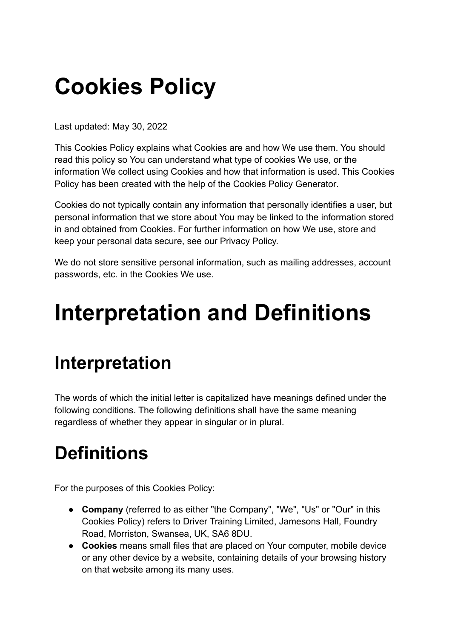# **Cookies Policy**

Last updated: May 30, 2022

This Cookies Policy explains what Cookies are and how We use them. You should read this policy so You can understand what type of cookies We use, or the information We collect using Cookies and how that information is used. This Cookies Policy has been created with the help of the Cookies [Policy Generator.](https://www.termsfeed.com/cookies-policy-generator/)

Cookies do not typically contain any information that personally identifies a user, but personal information that we store about You may be linked to the information stored in and obtained from Cookies. For further information on how We use, store and keep your personal data secure, see our Privacy Policy.

We do not store sensitive personal information, such as mailing addresses, account passwords, etc. in the Cookies We use.

## **Interpretation and Definitions**

### **Interpretation**

The words of which the initial letter is capitalized have meanings defined under the following conditions. The following definitions shall have the same meaning regardless of whether they appear in singular or in plural.

### **Definitions**

For the purposes of this Cookies Policy:

- **Company** (referred to as either "the Company", "We", "Us" or "Our" in this Cookies Policy) refers to Driver Training Limited, Jamesons Hall, Foundry Road, Morriston, Swansea, UK, SA6 8DU.
- **Cookies** means small files that are placed on Your computer, mobile device or any other device by a website, containing details of your browsing history on that website among its many uses.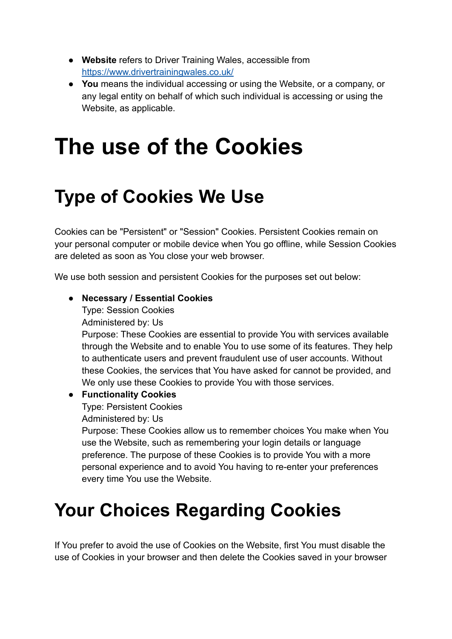- **Website** refers to Driver Training Wales, accessible from <https://www.drivertrainingwales.co.uk/>
- **You** means the individual accessing or using the Website, or a company, or any legal entity on behalf of which such individual is accessing or using the Website, as applicable.

# **The use of the Cookies**

### **Type of Cookies We Use**

Cookies can be "Persistent" or "Session" Cookies. Persistent Cookies remain on your personal computer or mobile device when You go offline, while Session Cookies are deleted as soon as You close your web browser.

We use both session and persistent Cookies for the purposes set out below:

#### ● **Necessary / Essential Cookies**

Type: Session Cookies

Administered by: Us

Purpose: These Cookies are essential to provide You with services available through the Website and to enable You to use some of its features. They help to authenticate users and prevent fraudulent use of user accounts. Without these Cookies, the services that You have asked for cannot be provided, and We only use these Cookies to provide You with those services.

#### ● **Functionality Cookies**

Type: Persistent Cookies Administered by: Us

Purpose: These Cookies allow us to remember choices You make when You use the Website, such as remembering your login details or language preference. The purpose of these Cookies is to provide You with a more personal experience and to avoid You having to re-enter your preferences every time You use the Website.

### **Your Choices Regarding Cookies**

If You prefer to avoid the use of Cookies on the Website, first You must disable the use of Cookies in your browser and then delete the Cookies saved in your browser